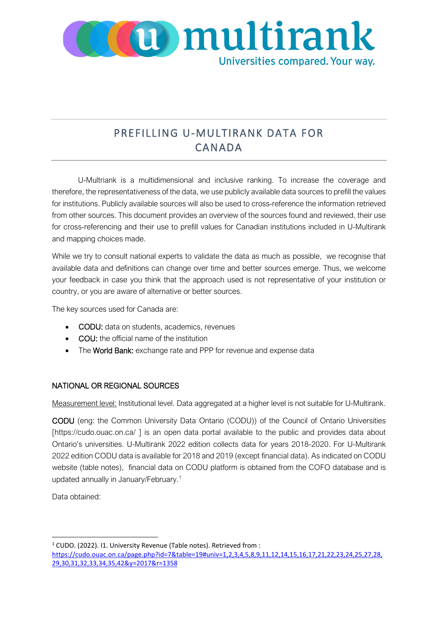

## PREFILLING U-MULTIRANK DATA FOR CANADA

U-Multriank is a multidimensional and inclusive ranking. To increase the coverage and therefore, the representativeness of the data, we use publicly available data sources to prefill the values for institutions. Publicly available sources will also be used to cross-reference the information retrieved from other sources. This document provides an overview of the sources found and reviewed, their use for cross-referencing and their use to prefill values for Canadian institutions included in U-Multirank and mapping choices made.

While we try to consult national experts to validate the data as much as possible, we recognise that available data and definitions can change over time and better sources emerge. Thus, we welcome your feedback in case you think that the approach used is not representative of your institution or country, or you are aware of alternative or better sources.

The key sources used for Canada are:

- CODU: data on students, academics, revenues
- COU: the official name of the institution
- The World Bank: exchange rate and PPP for revenue and expense data

## NATIONAL OR REGIONAL SOURCES

Measurement level: Institutional level. Data aggregated at a higher level is not suitable for U-Multirank.

CODU (eng: the Common University Data Ontario (CODU)) of the Council of Ontario Universities [https://cudo.ouac.on.ca/] is an open data portal available to the public and provides data about Ontario's universities. U-Multirank 2022 edition collects data for years 2018-2020. For U-Multirank 2022 edition CODU data is available for 2018 and 2019 (except financial data). As indicated on CODU website (table notes), financial data on CODU platform is obtained from the COFO database and is updated annually in January/February.[1](#page-0-0) 

Data obtained:

<span id="page-0-0"></span> $1$  CUDO. (2022). I1. University Revenue (Table notes). Retrieved from:

[https://cudo.ouac.on.ca/page.php?id=7&table=19#univ=1,2,3,4,5,8,9,11,12,14,15,16,17,21,22,23,24,25,27,28,](https://cudo.ouac.on.ca/page.php?id=7&table=19#univ=1,2,3,4,5,8,9,11,12,14,15,16,17,21,22,23,24,25,27,28,29,30,31,32,33,34,35,42&y=2017&r=1358) [29,30,31,32,33,34,35,42&y=2017&r=1358](https://cudo.ouac.on.ca/page.php?id=7&table=19#univ=1,2,3,4,5,8,9,11,12,14,15,16,17,21,22,23,24,25,27,28,29,30,31,32,33,34,35,42&y=2017&r=1358)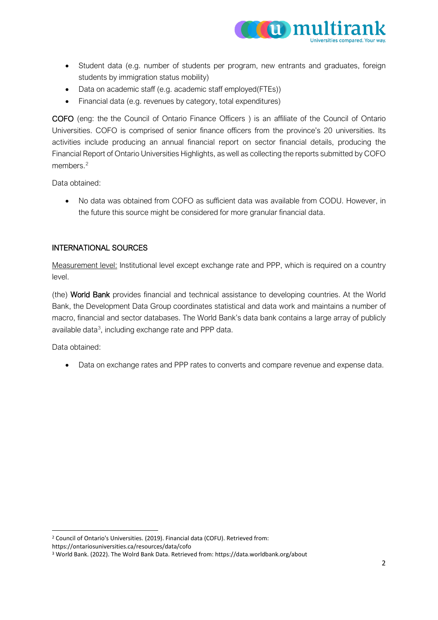

- Student data (e.g. number of students per program, new entrants and graduates, foreign students by immigration status mobility)
- Data on academic staff (e.g. academic staff employed(FTEs))
- Financial data (e.g. revenues by category, total expenditures)

COFO (eng: the the Council of Ontario Finance Officers ) is an affiliate of the Council of Ontario Universities. COFO is comprised of senior finance officers from the province's 20 universities. Its activities include producing an annual financial report on sector financial details, producing the Financial Report of Ontario Universities Highlights, as well as collecting the reports submitted by COFO members.<sup>[2](#page-1-0)</sup>

Data obtained:

• No data was obtained from COFO as sufficient data was available from CODU. However, in the future this source might be considered for more granular financial data.

## INTERNATIONAL SOURCES

Measurement level: Institutional level except exchange rate and PPP, which is required on a country level.

(the) World Bank provides financial and technical assistance to developing countries. At the World Bank, the Development Data Group coordinates statistical and data work and maintains a number of macro, financial and sector databases. The World Bank's data bank contains a large array of publicly available data[3,](#page-1-1) including exchange rate and PPP data.

Data obtained:

• Data on exchange rates and PPP rates to converts and compare revenue and expense data.

<span id="page-1-0"></span><sup>2</sup> Council of Ontario's Universities. (2019). Financial data (COFU). Retrieved from:

https://ontariosuniversities.ca/resources/data/cofo

<span id="page-1-1"></span><sup>3</sup> World Bank. (2022). The Wolrd Bank Data. Retrieved from: https://data.worldbank.org/about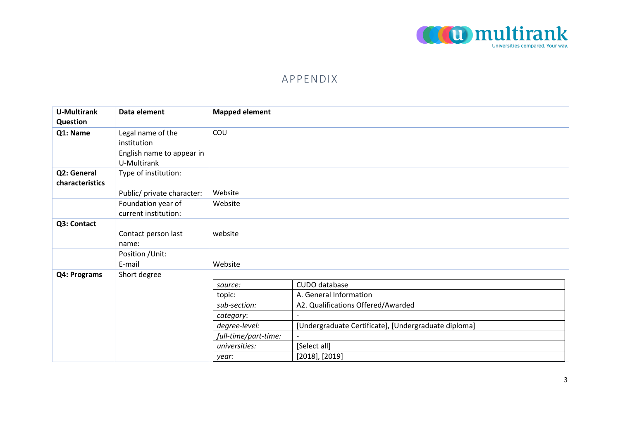

## APPENDIX

| <b>U-Multirank</b><br>Question | Data element                             | <b>Mapped element</b> |                                                      |
|--------------------------------|------------------------------------------|-----------------------|------------------------------------------------------|
| Q1: Name                       | Legal name of the<br>institution         | COU                   |                                                      |
|                                | English name to appear in<br>U-Multirank |                       |                                                      |
| Q2: General<br>characteristics | Type of institution:                     |                       |                                                      |
|                                | Public/ private character:               | Website               |                                                      |
|                                | Foundation year of                       | Website               |                                                      |
|                                | current institution:                     |                       |                                                      |
| Q3: Contact                    |                                          |                       |                                                      |
|                                | Contact person last                      | website               |                                                      |
|                                | name:                                    |                       |                                                      |
|                                | Position / Unit:                         |                       |                                                      |
|                                | E-mail                                   | Website               |                                                      |
| Q4: Programs                   | Short degree                             |                       |                                                      |
|                                |                                          | source:               | CUDO database                                        |
|                                |                                          | topic:                | A. General Information                               |
|                                |                                          | sub-section:          | A2. Qualifications Offered/Awarded                   |
|                                |                                          | category:             |                                                      |
|                                |                                          | degree-level:         | [Undergraduate Certificate], [Undergraduate diploma] |
|                                |                                          | full-time/part-time:  |                                                      |
|                                |                                          | universities:         | [Select all]                                         |
|                                |                                          | year:                 | $[2018]$ , $[2019]$                                  |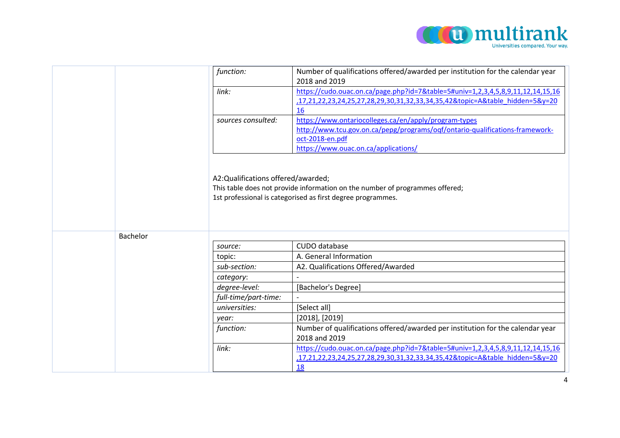

|          | function:                          | Number of qualifications offered/awarded per institution for the calendar year<br>2018 and 2019                                             |
|----------|------------------------------------|---------------------------------------------------------------------------------------------------------------------------------------------|
|          | link:                              | https://cudo.ouac.on.ca/page.php?id=7&table=5#univ=1,2,3,4,5,8,9,11,12,14,15,16                                                             |
|          |                                    | 17,21,22,23,24,25,27,28,29,30,31,32,33,34,35,42&topic=A&table_hidden=5&y=20                                                                 |
|          |                                    | 16                                                                                                                                          |
|          | sources consulted:                 | https://www.ontariocolleges.ca/en/apply/program-types                                                                                       |
|          |                                    | http://www.tcu.gov.on.ca/pepg/programs/oqf/ontario-qualifications-framework-                                                                |
|          |                                    | oct-2018-en.pdf                                                                                                                             |
|          |                                    | https://www.ouac.on.ca/applications/                                                                                                        |
| Bachelor | A2:Qualifications offered/awarded; | This table does not provide information on the number of programmes offered;<br>1st professional is categorised as first degree programmes. |
|          | source:                            | CUDO database                                                                                                                               |
|          | topic:                             | A. General Information                                                                                                                      |
|          | sub-section:                       | A2. Qualifications Offered/Awarded                                                                                                          |
|          | category:                          |                                                                                                                                             |
|          | degree-level:                      | [Bachelor's Degree]                                                                                                                         |
|          | full-time/part-time:               |                                                                                                                                             |
|          | universities:                      | [Select all]                                                                                                                                |
|          | year:                              | $[2018]$ , $[2019]$                                                                                                                         |
|          | function:                          | Number of qualifications offered/awarded per institution for the calendar year                                                              |
|          |                                    | 2018 and 2019                                                                                                                               |
|          | link:                              | https://cudo.ouac.on.ca/page.php?id=7&table=5#univ=1,2,3,4,5,8,9,11,12,14,15,16                                                             |
|          |                                    | ,17,21,22,23,24,25,27,28,29,30,31,32,33,34,35,42&topic=A&table hidden=5&y=20                                                                |
|          |                                    | 18                                                                                                                                          |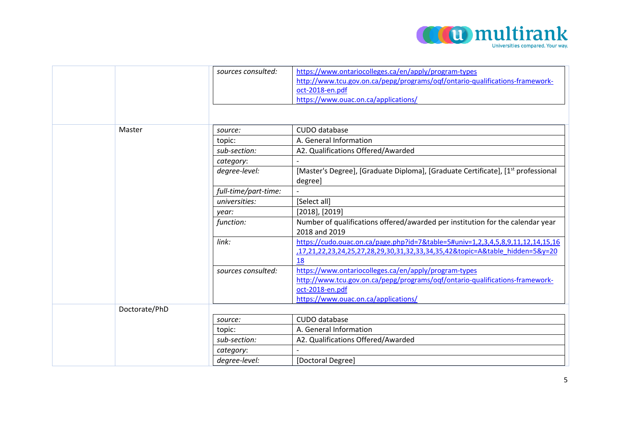

|               | sources consulted:   | https://www.ontariocolleges.ca/en/apply/program-types                                                                                                           |
|---------------|----------------------|-----------------------------------------------------------------------------------------------------------------------------------------------------------------|
|               |                      | http://www.tcu.gov.on.ca/pepg/programs/oqf/ontario-qualifications-framework-                                                                                    |
|               |                      | oct-2018-en.pdf                                                                                                                                                 |
|               |                      | https://www.ouac.on.ca/applications/                                                                                                                            |
|               |                      |                                                                                                                                                                 |
|               |                      |                                                                                                                                                                 |
| Master        | source:              | CUDO database                                                                                                                                                   |
|               | topic:               | A. General Information                                                                                                                                          |
|               | sub-section:         | A2. Qualifications Offered/Awarded                                                                                                                              |
|               | category:            |                                                                                                                                                                 |
|               | degree-level:        | [Master's Degree], [Graduate Diploma], [Graduate Certificate], [1 <sup>st</sup> professional<br>degree]                                                         |
|               | full-time/part-time: |                                                                                                                                                                 |
|               | universities:        | [Select all]                                                                                                                                                    |
|               | year:                | $[2018]$ , $[2019]$                                                                                                                                             |
|               | function:            | Number of qualifications offered/awarded per institution for the calendar year<br>2018 and 2019                                                                 |
|               | link:                |                                                                                                                                                                 |
|               |                      | https://cudo.ouac.on.ca/page.php?id=7&table=5#univ=1,2,3,4,5,8,9,11,12,14,15,16<br>,17,21,22,23,24,25,27,28,29,30,31,32,33,34,35,42&topic=A&table hidden=5&y=20 |
|               |                      | 18                                                                                                                                                              |
|               | sources consulted:   | https://www.ontariocolleges.ca/en/apply/program-types                                                                                                           |
|               |                      | http://www.tcu.gov.on.ca/pepg/programs/oqf/ontario-qualifications-framework-                                                                                    |
|               |                      | oct-2018-en.pdf                                                                                                                                                 |
|               |                      | https://www.ouac.on.ca/applications/                                                                                                                            |
| Doctorate/PhD |                      |                                                                                                                                                                 |
|               | source:              | CUDO database                                                                                                                                                   |
|               | topic:               | A. General Information                                                                                                                                          |
|               | sub-section:         | A2. Qualifications Offered/Awarded                                                                                                                              |
|               | category:            |                                                                                                                                                                 |
|               | degree-level:        | [Doctoral Degree]                                                                                                                                               |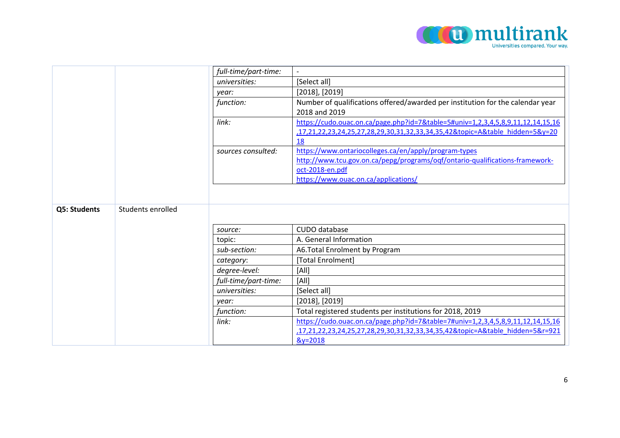

|              |                   | full-time/part-time: |                                                                                                                                                                |
|--------------|-------------------|----------------------|----------------------------------------------------------------------------------------------------------------------------------------------------------------|
|              |                   | universities:        | [Select all]                                                                                                                                                   |
|              |                   | year:                | $[2018]$ , $[2019]$                                                                                                                                            |
|              |                   | function:            | Number of qualifications offered/awarded per institution for the calendar year<br>2018 and 2019                                                                |
|              |                   | link:                | https://cudo.ouac.on.ca/page.php?id=7&table=5#univ=1,2,3,4,5,8,9,11,12,14,15,16<br>17,21,22,23,24,25,27,28,29,30,31,32,33,34,35,42&topic=A&table hidden=5&y=20 |
|              |                   |                      | 18                                                                                                                                                             |
|              |                   | sources consulted:   | https://www.ontariocolleges.ca/en/apply/program-types                                                                                                          |
|              |                   |                      | http://www.tcu.gov.on.ca/pepg/programs/oqf/ontario-qualifications-framework-                                                                                   |
|              |                   |                      | oct-2018-en.pdf                                                                                                                                                |
|              |                   |                      | https://www.ouac.on.ca/applications/                                                                                                                           |
| Q5: Students | Students enrolled |                      |                                                                                                                                                                |
|              |                   | source:              | CUDO database                                                                                                                                                  |
|              |                   | topic:               | A. General Information                                                                                                                                         |
|              |                   | sub-section:         | A6.Total Enrolment by Program                                                                                                                                  |
|              |                   | category:            | [Total Enrolment]                                                                                                                                              |
|              |                   | degree-level:        | [All]                                                                                                                                                          |
|              |                   | full-time/part-time: | [All]                                                                                                                                                          |
|              |                   | universities:        | [Select all]                                                                                                                                                   |
|              |                   | year:                | $[2018]$ , $[2019]$                                                                                                                                            |
|              |                   | function:            | Total registered students per institutions for 2018, 2019                                                                                                      |
|              |                   | link:                | https://cudo.ouac.on.ca/page.php?id=7&table=7#univ=1,2,3,4,5,8,9,11,12,14,15,16                                                                                |
|              |                   |                      | 17,21,22,23,24,25,27,28,29,30,31,32,33,34,35,42&topic=A&table hidden=5&r=921                                                                                   |
|              |                   |                      | $&y=2018$                                                                                                                                                      |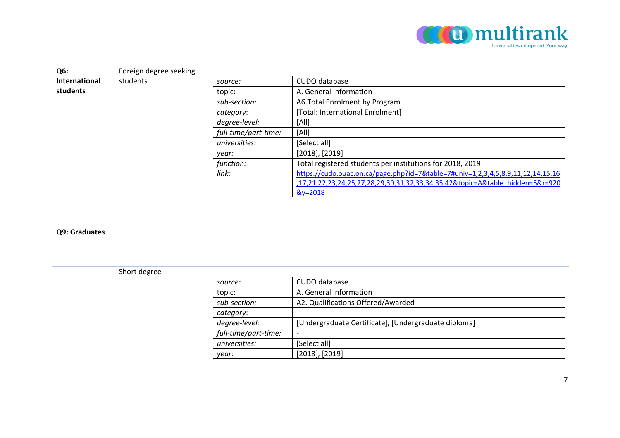

| Q <sub>6</sub> :     | Foreign degree seeking |                      |                                                                                 |
|----------------------|------------------------|----------------------|---------------------------------------------------------------------------------|
| <b>International</b> | students               | source:              | CUDO database                                                                   |
| students             |                        | topic:               | A. General Information                                                          |
|                      |                        | sub-section:         | A6. Total Enrolment by Program                                                  |
|                      |                        | category:            | [Total: International Enrolment]                                                |
|                      |                        | degree-level:        | [All]                                                                           |
|                      |                        | full-time/part-time: | [All]                                                                           |
|                      |                        | universities:        | [Select all]                                                                    |
|                      |                        | year:                | $[2018]$ , $[2019]$                                                             |
|                      |                        | function:            | Total registered students per institutions for 2018, 2019                       |
|                      |                        | link:                | https://cudo.ouac.on.ca/page.php?id=7&table=7#univ=1,2,3,4,5,8,9,11,12,14,15,16 |
|                      |                        |                      | ,17,21,22,23,24,25,27,28,29,30,31,32,33,34,35,42&topic=A&table hidden=5&r=920   |
|                      |                        |                      | $&y=2018$                                                                       |
|                      |                        |                      |                                                                                 |
| Q9: Graduates        |                        |                      |                                                                                 |
|                      | Short degree           |                      |                                                                                 |
|                      |                        | source:              | CUDO database                                                                   |
|                      |                        | topic:               | A. General Information                                                          |
|                      |                        | sub-section:         | A2. Qualifications Offered/Awarded                                              |
|                      |                        | category:            |                                                                                 |
|                      |                        | degree-level:        | [Undergraduate Certificate], [Undergraduate diploma]                            |
|                      |                        | full-time/part-time: | $\overline{a}$                                                                  |
|                      |                        | universities:        | [Select all]                                                                    |
|                      |                        | year:                | $[2018]$ , $[2019]$                                                             |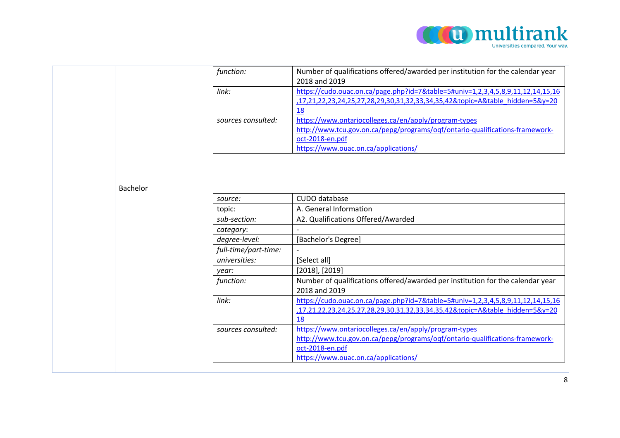

|          | function:            | Number of qualifications offered/awarded per institution for the calendar year  |
|----------|----------------------|---------------------------------------------------------------------------------|
|          |                      | 2018 and 2019                                                                   |
|          | link:                | https://cudo.ouac.on.ca/page.php?id=7&table=5#univ=1,2,3,4,5,8,9,11,12,14,15,16 |
|          |                      | ,17,21,22,23,24,25,27,28,29,30,31,32,33,34,35,42&topic=A&table_hidden=5&y=20    |
|          |                      | 18                                                                              |
|          | sources consulted:   | https://www.ontariocolleges.ca/en/apply/program-types                           |
|          |                      | http://www.tcu.gov.on.ca/pepg/programs/oqf/ontario-qualifications-framework-    |
|          |                      | oct-2018-en.pdf                                                                 |
|          |                      | https://www.ouac.on.ca/applications/                                            |
|          |                      |                                                                                 |
|          |                      |                                                                                 |
|          |                      |                                                                                 |
| Bachelor |                      |                                                                                 |
|          | source:              | CUDO database                                                                   |
|          | topic:               | A. General Information                                                          |
|          | sub-section:         | A2. Qualifications Offered/Awarded                                              |
|          | category:            |                                                                                 |
|          | degree-level:        | [Bachelor's Degree]                                                             |
|          | full-time/part-time: |                                                                                 |
|          | universities:        | [Select all]                                                                    |
|          | year:                | $[2018]$ , $[2019]$                                                             |
|          | function:            | Number of qualifications offered/awarded per institution for the calendar year  |
|          |                      | 2018 and 2019                                                                   |
|          | link:                | https://cudo.ouac.on.ca/page.php?id=7&table=5#univ=1,2,3,4,5,8,9,11,12,14,15,16 |
|          |                      | ,17,21,22,23,24,25,27,28,29,30,31,32,33,34,35,42&topic=A&table_hidden=5&y=20    |
|          |                      | 18                                                                              |
|          | sources consulted:   | https://www.ontariocolleges.ca/en/apply/program-types                           |
|          |                      | http://www.tcu.gov.on.ca/pepg/programs/oqf/ontario-qualifications-framework-    |
|          |                      | oct-2018-en.pdf                                                                 |
|          |                      | https://www.ouac.on.ca/applications/                                            |
|          |                      |                                                                                 |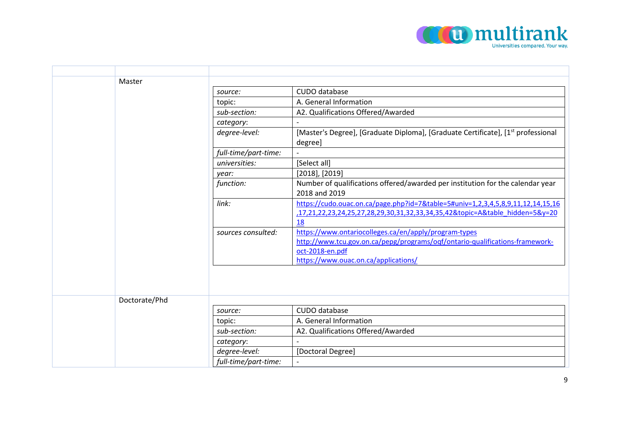

| Master        |                      |                                                                                                                                                                                                  |
|---------------|----------------------|--------------------------------------------------------------------------------------------------------------------------------------------------------------------------------------------------|
|               | source:              | CUDO database                                                                                                                                                                                    |
|               | topic:               | A. General Information                                                                                                                                                                           |
|               | sub-section:         | A2. Qualifications Offered/Awarded                                                                                                                                                               |
|               | category:            |                                                                                                                                                                                                  |
|               | degree-level:        | [Master's Degree], [Graduate Diploma], [Graduate Certificate], [1 <sup>st</sup> professional<br>degree]                                                                                          |
|               | full-time/part-time: |                                                                                                                                                                                                  |
|               | universities:        | [Select all]                                                                                                                                                                                     |
|               | year:                | $[2018]$ , $[2019]$                                                                                                                                                                              |
|               | function:            | Number of qualifications offered/awarded per institution for the calendar year<br>2018 and 2019                                                                                                  |
|               | link:                | https://cudo.ouac.on.ca/page.php?id=7&table=5#univ=1,2,3,4,5,8,9,11,12,14,15,16<br>,17,21,22,23,24,25,27,28,29,30,31,32,33,34,35,42&topic=A&table_hidden=5&y=20<br>18                            |
|               | sources consulted:   | https://www.ontariocolleges.ca/en/apply/program-types<br>http://www.tcu.gov.on.ca/pepg/programs/oqf/ontario-qualifications-framework-<br>oct-2018-en.pdf<br>https://www.ouac.on.ca/applications/ |
|               |                      |                                                                                                                                                                                                  |
| Doctorate/Phd |                      |                                                                                                                                                                                                  |
|               | source:              | CUDO database                                                                                                                                                                                    |
|               | topic:               | A. General Information                                                                                                                                                                           |
|               | sub-section:         | A2. Qualifications Offered/Awarded                                                                                                                                                               |
|               | category:            | $\overline{\phantom{a}}$                                                                                                                                                                         |
|               | degree-level:        | [Doctoral Degree]                                                                                                                                                                                |
|               | full-time/part-time: |                                                                                                                                                                                                  |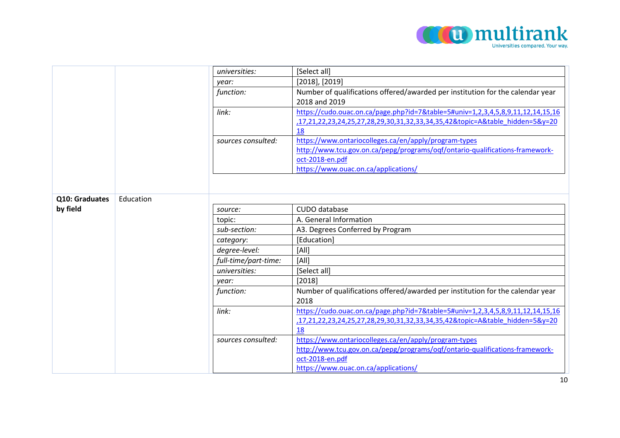

|                |           | universities:        | [Select all]                                                                    |
|----------------|-----------|----------------------|---------------------------------------------------------------------------------|
|                |           | year:                | $[2018]$ , $[2019]$                                                             |
|                |           | function:            | Number of qualifications offered/awarded per institution for the calendar year  |
|                |           |                      | 2018 and 2019                                                                   |
|                |           | link:                | https://cudo.ouac.on.ca/page.php?id=7&table=5#univ=1,2,3,4,5,8,9,11,12,14,15,16 |
|                |           |                      | ,17,21,22,23,24,25,27,28,29,30,31,32,33,34,35,42&topic=A&table hidden=5&y=20    |
|                |           |                      | 18                                                                              |
|                |           | sources consulted:   | https://www.ontariocolleges.ca/en/apply/program-types                           |
|                |           |                      | http://www.tcu.gov.on.ca/pepg/programs/oqf/ontario-qualifications-framework-    |
|                |           |                      | oct-2018-en.pdf                                                                 |
|                |           |                      | https://www.ouac.on.ca/applications/                                            |
|                |           |                      |                                                                                 |
|                |           |                      |                                                                                 |
| Q10: Graduates | Education |                      |                                                                                 |
| by field       |           | source:              | CUDO database                                                                   |
|                |           | topic:               | A. General Information                                                          |
|                |           | sub-section:         | A3. Degrees Conferred by Program                                                |
|                |           | category:            | [Education]                                                                     |
|                |           | degree-level:        | [All]                                                                           |
|                |           | full-time/part-time: | [All]                                                                           |
|                |           | universities:        | [Select all]                                                                    |
|                |           | year:                | [2018]                                                                          |
|                |           | function:            | Number of qualifications offered/awarded per institution for the calendar year  |
|                |           |                      | 2018                                                                            |
|                |           | link:                | https://cudo.ouac.on.ca/page.php?id=7&table=5#univ=1,2,3,4,5,8,9,11,12,14,15,16 |
|                |           |                      | ,17,21,22,23,24,25,27,28,29,30,31,32,33,34,35,42&topic=A&table hidden=5&y=20    |
|                |           |                      | 18                                                                              |
|                |           | sources consulted:   | https://www.ontariocolleges.ca/en/apply/program-types                           |
|                |           |                      | http://www.tcu.gov.on.ca/pepg/programs/oqf/ontario-qualifications-framework-    |
|                |           |                      | oct-2018-en.pdf                                                                 |
|                |           |                      | https://www.ouac.on.ca/applications/                                            |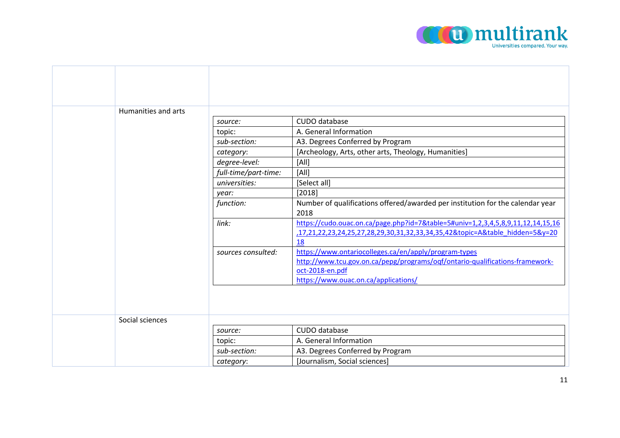

| Humanities and arts |                      |                                                                                 |
|---------------------|----------------------|---------------------------------------------------------------------------------|
|                     | source:              | CUDO database                                                                   |
|                     | topic:               | A. General Information                                                          |
|                     | sub-section:         | A3. Degrees Conferred by Program                                                |
|                     | category:            | [Archeology, Arts, other arts, Theology, Humanities]                            |
|                     | degree-level:        | [All]                                                                           |
|                     | full-time/part-time: | [All]                                                                           |
|                     | universities:        | [Select all]                                                                    |
|                     | year:                | [2018]                                                                          |
|                     | function:            | Number of qualifications offered/awarded per institution for the calendar year  |
|                     |                      | 2018                                                                            |
|                     | link:                | https://cudo.ouac.on.ca/page.php?id=7&table=5#univ=1,2,3,4,5,8,9,11,12,14,15,16 |
|                     |                      | 17,21,22,23,24,25,27,28,29,30,31,32,33,34,35,42&topic=A&table hidden=5&y=20     |
|                     |                      | 18                                                                              |
|                     | sources consulted:   | https://www.ontariocolleges.ca/en/apply/program-types                           |
|                     |                      | http://www.tcu.gov.on.ca/pepg/programs/oqf/ontario-qualifications-framework-    |
|                     |                      | oct-2018-en.pdf                                                                 |
|                     |                      | https://www.ouac.on.ca/applications/                                            |
|                     |                      |                                                                                 |
|                     |                      |                                                                                 |
|                     |                      |                                                                                 |
| Social sciences     |                      |                                                                                 |
|                     | source:              | CUDO database                                                                   |
|                     | topic:               | A. General Information                                                          |
|                     | sub-section:         | A3. Degrees Conferred by Program                                                |
|                     | category:            | [Journalism, Social sciences]                                                   |

┰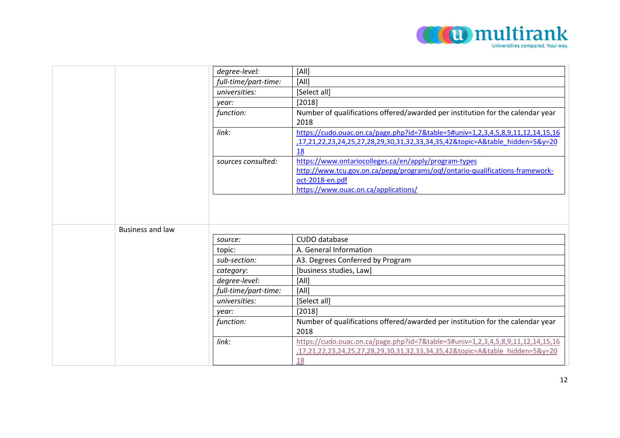

|                         | degree-level:        | [All]                                                                           |
|-------------------------|----------------------|---------------------------------------------------------------------------------|
|                         | full-time/part-time: | [All]                                                                           |
|                         | universities:        | [Select all]                                                                    |
|                         | year:                | [2018]                                                                          |
|                         | function:            | Number of qualifications offered/awarded per institution for the calendar year  |
|                         |                      | 2018                                                                            |
|                         | link:                | https://cudo.ouac.on.ca/page.php?id=7&table=5#univ=1,2,3,4,5,8,9,11,12,14,15,16 |
|                         |                      | ,17,21,22,23,24,25,27,28,29,30,31,32,33,34,35,42&topic=A&table hidden=5&y=20    |
|                         |                      | 18                                                                              |
|                         | sources consulted:   | https://www.ontariocolleges.ca/en/apply/program-types                           |
|                         |                      | http://www.tcu.gov.on.ca/pepg/programs/oqf/ontario-qualifications-framework-    |
|                         |                      | oct-2018-en.pdf                                                                 |
|                         |                      | https://www.ouac.on.ca/applications/                                            |
|                         |                      |                                                                                 |
|                         |                      |                                                                                 |
|                         |                      |                                                                                 |
| <b>Business and law</b> |                      |                                                                                 |
|                         | source:              | CUDO database                                                                   |
|                         | topic:               | A. General Information                                                          |
|                         | sub-section:         | A3. Degrees Conferred by Program                                                |
|                         | category:            | [business studies, Law]                                                         |
|                         | degree-level:        | [All]                                                                           |
|                         | full-time/part-time: | [All]                                                                           |
|                         | universities:        | [Select all]                                                                    |
|                         | year:                | [2018]                                                                          |
|                         | function:            | Number of qualifications offered/awarded per institution for the calendar year  |
|                         |                      | 2018                                                                            |
|                         | link:                | https://cudo.ouac.on.ca/page.php?id=7&table=5#univ=1,2,3,4,5,8,9,11,12,14,15,16 |
|                         |                      | ,17,21,22,23,24,25,27,28,29,30,31,32,33,34,35,42&topic=A&table hidden=5&y=20    |
|                         |                      | 18                                                                              |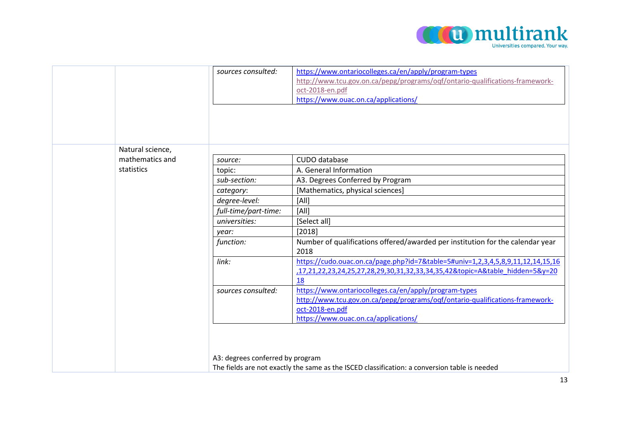

|                  | sources consulted:               | https://www.ontariocolleges.ca/en/apply/program-types                                         |
|------------------|----------------------------------|-----------------------------------------------------------------------------------------------|
|                  |                                  | http://www.tcu.gov.on.ca/pepg/programs/oqf/ontario-qualifications-framework-                  |
|                  |                                  | oct-2018-en.pdf                                                                               |
|                  |                                  | https://www.ouac.on.ca/applications/                                                          |
|                  |                                  |                                                                                               |
|                  |                                  |                                                                                               |
|                  |                                  |                                                                                               |
|                  |                                  |                                                                                               |
| Natural science, |                                  |                                                                                               |
| mathematics and  | source:                          | CUDO database                                                                                 |
| statistics       | topic:                           | A. General Information                                                                        |
|                  | sub-section:                     | A3. Degrees Conferred by Program                                                              |
|                  | category:                        | [Mathematics, physical sciences]                                                              |
|                  | degree-level:                    | [All]                                                                                         |
|                  | full-time/part-time:             | [All]                                                                                         |
|                  | universities:                    | [Select all]                                                                                  |
|                  | year:                            | [2018]                                                                                        |
|                  | function:                        | Number of qualifications offered/awarded per institution for the calendar year                |
|                  |                                  | 2018                                                                                          |
|                  | link:                            | https://cudo.ouac.on.ca/page.php?id=7&table=5#univ=1,2,3,4,5,8,9,11,12,14,15,16               |
|                  |                                  | 17,21,22,23,24,25,27,28,29,30,31,32,33,34,35,42&topic=A&table hidden=5&y=20                   |
|                  |                                  | 18                                                                                            |
|                  | sources consulted:               | https://www.ontariocolleges.ca/en/apply/program-types                                         |
|                  |                                  | http://www.tcu.gov.on.ca/pepg/programs/oqf/ontario-qualifications-framework-                  |
|                  |                                  | oct-2018-en.pdf                                                                               |
|                  |                                  | https://www.ouac.on.ca/applications/                                                          |
|                  |                                  |                                                                                               |
|                  |                                  |                                                                                               |
|                  |                                  |                                                                                               |
|                  | A3: degrees conferred by program |                                                                                               |
|                  |                                  | The fields are not exactly the same as the ISCED classification: a conversion table is needed |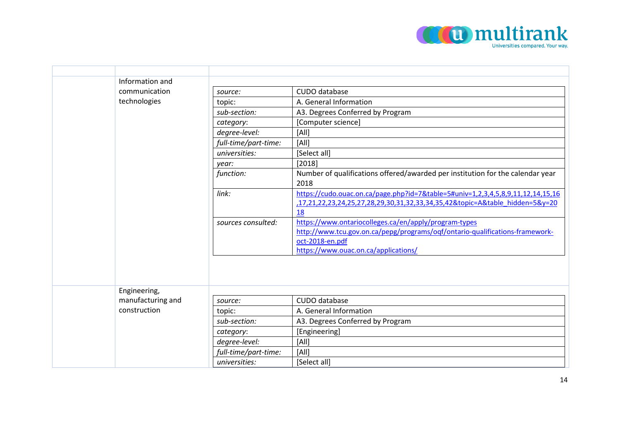

| Information and   |                      |                                                                                                                                                                                                  |
|-------------------|----------------------|--------------------------------------------------------------------------------------------------------------------------------------------------------------------------------------------------|
| communication     | source:              | CUDO database                                                                                                                                                                                    |
| technologies      | topic:               | A. General Information                                                                                                                                                                           |
|                   | sub-section:         | A3. Degrees Conferred by Program                                                                                                                                                                 |
|                   | category:            | [Computer science]                                                                                                                                                                               |
|                   | degree-level:        | [All]                                                                                                                                                                                            |
|                   | full-time/part-time: | [All]                                                                                                                                                                                            |
|                   | universities:        | [Select all]                                                                                                                                                                                     |
|                   | year:                | [2018]                                                                                                                                                                                           |
|                   | function:            | Number of qualifications offered/awarded per institution for the calendar year<br>2018                                                                                                           |
|                   | link:                | https://cudo.ouac.on.ca/page.php?id=7&table=5#univ=1,2,3,4,5,8,9,11,12,14,15,16<br>,17,21,22,23,24,25,27,28,29,30,31,32,33,34,35,42&topic=A&table hidden=5&y=20<br>18                            |
|                   | sources consulted:   | https://www.ontariocolleges.ca/en/apply/program-types<br>http://www.tcu.gov.on.ca/pepg/programs/oqf/ontario-qualifications-framework-<br>oct-2018-en.pdf<br>https://www.ouac.on.ca/applications/ |
| Engineering,      |                      |                                                                                                                                                                                                  |
| manufacturing and | source:              | CUDO database                                                                                                                                                                                    |
| construction      | topic:               | A. General Information                                                                                                                                                                           |
|                   | sub-section:         | A3. Degrees Conferred by Program                                                                                                                                                                 |
|                   |                      |                                                                                                                                                                                                  |
|                   | category:            | [Engineering]                                                                                                                                                                                    |
|                   | degree-level:        | [All]                                                                                                                                                                                            |
|                   | full-time/part-time: | [All]                                                                                                                                                                                            |
|                   | universities:        | [Select all]                                                                                                                                                                                     |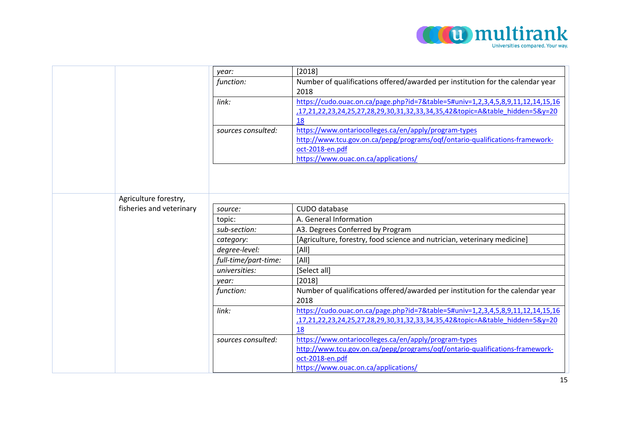

|                          | year:                | [2018]                                                                          |
|--------------------------|----------------------|---------------------------------------------------------------------------------|
|                          | function:            | Number of qualifications offered/awarded per institution for the calendar year  |
|                          |                      | 2018                                                                            |
|                          | link:                | https://cudo.ouac.on.ca/page.php?id=7&table=5#univ=1,2,3,4,5,8,9,11,12,14,15,16 |
|                          |                      | ,17,21,22,23,24,25,27,28,29,30,31,32,33,34,35,42&topic=A&table hidden=5&y=20    |
|                          |                      | 18                                                                              |
|                          | sources consulted:   | https://www.ontariocolleges.ca/en/apply/program-types                           |
|                          |                      | http://www.tcu.gov.on.ca/pepg/programs/oqf/ontario-qualifications-framework-    |
|                          |                      | oct-2018-en.pdf                                                                 |
|                          |                      | https://www.ouac.on.ca/applications/                                            |
|                          |                      |                                                                                 |
|                          |                      |                                                                                 |
|                          |                      |                                                                                 |
| Agriculture forestry,    |                      |                                                                                 |
| fisheries and veterinary | source:              | CUDO database                                                                   |
|                          | topic:               | A. General Information                                                          |
|                          | sub-section:         | A3. Degrees Conferred by Program                                                |
|                          | category:            | [Agriculture, forestry, food science and nutrician, veterinary medicine]        |
|                          | degree-level:        | [All]                                                                           |
|                          | full-time/part-time: | [All]                                                                           |
|                          | universities:        | [Select all]                                                                    |
|                          | year:                | [2018]                                                                          |
|                          | function:            | Number of qualifications offered/awarded per institution for the calendar year  |
|                          |                      | 2018                                                                            |
|                          | link:                | https://cudo.ouac.on.ca/page.php?id=7&table=5#univ=1,2,3,4,5,8,9,11,12,14,15,16 |
|                          |                      | ,17,21,22,23,24,25,27,28,29,30,31,32,33,34,35,42&topic=A&table hidden=5&y=20    |
|                          |                      | 18                                                                              |
|                          | sources consulted:   | https://www.ontariocolleges.ca/en/apply/program-types                           |
|                          |                      | http://www.tcu.gov.on.ca/pepg/programs/oqf/ontario-qualifications-framework-    |
|                          |                      | oct-2018-en.pdf                                                                 |
|                          |                      | https://www.ouac.on.ca/applications/                                            |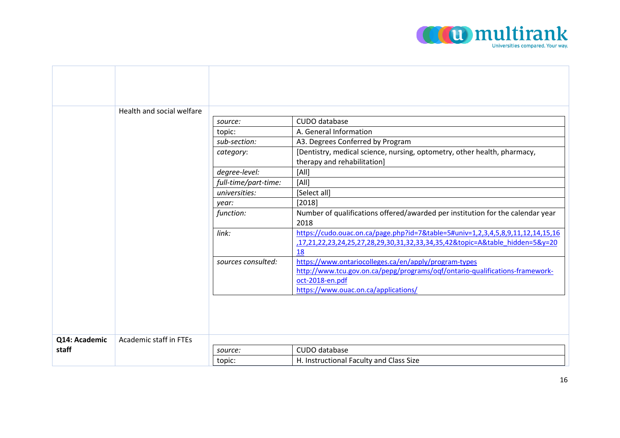

|               | Health and social welfare     |                      |                                                                                                                                                                                                  |
|---------------|-------------------------------|----------------------|--------------------------------------------------------------------------------------------------------------------------------------------------------------------------------------------------|
|               |                               | source:              | CUDO database                                                                                                                                                                                    |
|               |                               | topic:               | A. General Information                                                                                                                                                                           |
|               |                               | sub-section:         | A3. Degrees Conferred by Program                                                                                                                                                                 |
|               |                               | category:            | [Dentistry, medical science, nursing, optometry, other health, pharmacy,                                                                                                                         |
|               |                               |                      | therapy and rehabilitation]                                                                                                                                                                      |
|               |                               | degree-level:        | [All]                                                                                                                                                                                            |
|               |                               | full-time/part-time: | [All]                                                                                                                                                                                            |
|               |                               | universities:        | [Select all]                                                                                                                                                                                     |
|               |                               | year:                | [2018]                                                                                                                                                                                           |
|               |                               | function:            | Number of qualifications offered/awarded per institution for the calendar year<br>2018                                                                                                           |
|               |                               | link:                | https://cudo.ouac.on.ca/page.php?id=7&table=5#univ=1,2,3,4,5,8,9,11,12,14,15,16<br>,17,21,22,23,24,25,27,28,29,30,31,32,33,34,35,42&topic=A&table hidden=5&y=20<br>18                            |
|               |                               | sources consulted:   | https://www.ontariocolleges.ca/en/apply/program-types<br>http://www.tcu.gov.on.ca/pepg/programs/oqf/ontario-qualifications-framework-<br>oct-2018-en.pdf<br>https://www.ouac.on.ca/applications/ |
|               |                               |                      |                                                                                                                                                                                                  |
| Q14: Academic | <b>Academic staff in FTEs</b> |                      |                                                                                                                                                                                                  |
| staff         |                               | source:              | CUDO database                                                                                                                                                                                    |
|               |                               | topic:               | H. Instructional Faculty and Class Size                                                                                                                                                          |

F

⊤

т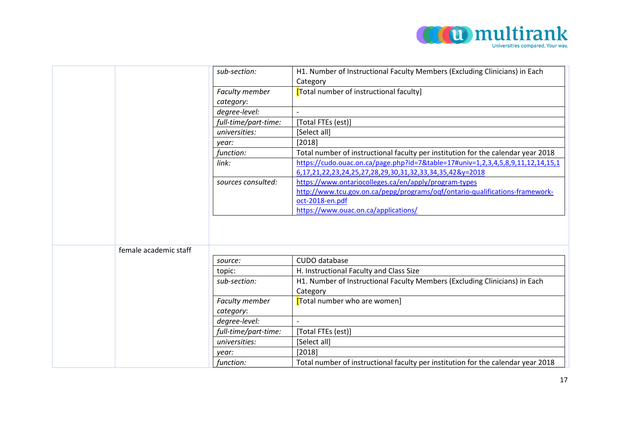

|                       | sub-section:                | H1. Number of Instructional Faculty Members (Excluding Clinicians) in Each<br>Category                                                      |
|-----------------------|-----------------------------|---------------------------------------------------------------------------------------------------------------------------------------------|
|                       | Faculty member<br>category: | <b>[Total number of instructional faculty]</b>                                                                                              |
|                       | degree-level:               |                                                                                                                                             |
|                       | full-time/part-time:        | [Total FTEs (est)]                                                                                                                          |
|                       | universities:               | [Select all]                                                                                                                                |
|                       | year:                       | [2018]                                                                                                                                      |
|                       | function:                   | Total number of instructional faculty per institution for the calendar year 2018                                                            |
|                       | link:                       | https://cudo.ouac.on.ca/page.php?id=7&table=17#univ=1,2,3,4,5,8,9,11,12,14,15,1<br>6,17,21,22,23,24,25,27,28,29,30,31,32,33,34,35,42&y=2018 |
|                       | sources consulted:          | https://www.ontariocolleges.ca/en/apply/program-types                                                                                       |
|                       |                             | http://www.tcu.gov.on.ca/pepg/programs/oqf/ontario-qualifications-framework-<br>oct-2018-en.pdf                                             |
|                       |                             | https://www.ouac.on.ca/applications/                                                                                                        |
|                       |                             |                                                                                                                                             |
| female academic staff |                             | CUDO database                                                                                                                               |
|                       | source:                     |                                                                                                                                             |
|                       | topic:                      | H. Instructional Faculty and Class Size                                                                                                     |
|                       | sub-section:                | H1. Number of Instructional Faculty Members (Excluding Clinicians) in Each<br>Category                                                      |
|                       | <b>Faculty member</b>       | [Total number who are women]                                                                                                                |
|                       | category:                   |                                                                                                                                             |
|                       | degree-level:               |                                                                                                                                             |
|                       | full-time/part-time:        | [Total FTEs (est)]                                                                                                                          |
|                       | universities:               | [Select all]                                                                                                                                |
|                       | year:                       | [2018]                                                                                                                                      |
|                       | function:                   | Total number of instructional faculty per institution for the calendar year 2018                                                            |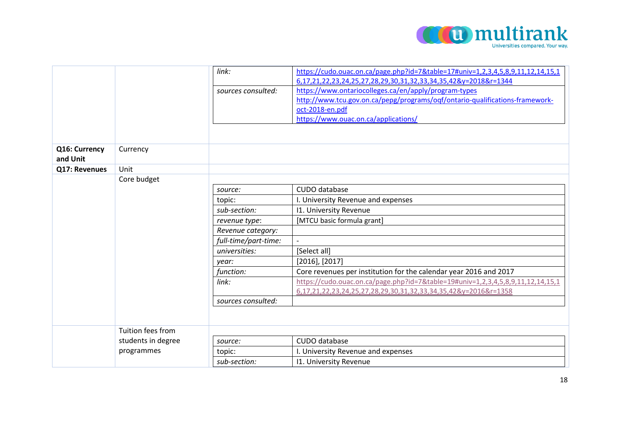

|                           |                    | link:                | https://cudo.ouac.on.ca/page.php?id=7&table=17#univ=1,2,3,4,5,8,9,11,12,14,15,1 |
|---------------------------|--------------------|----------------------|---------------------------------------------------------------------------------|
|                           |                    |                      | 6,17,21,22,23,24,25,27,28,29,30,31,32,33,34,35,42&y=2018&r=1344                 |
|                           |                    | sources consulted:   | https://www.ontariocolleges.ca/en/apply/program-types                           |
|                           |                    |                      | http://www.tcu.gov.on.ca/pepg/programs/oqf/ontario-qualifications-framework-    |
|                           |                    |                      | oct-2018-en.pdf                                                                 |
|                           |                    |                      | https://www.ouac.on.ca/applications/                                            |
|                           |                    |                      |                                                                                 |
|                           |                    |                      |                                                                                 |
| Q16: Currency<br>and Unit | Currency           |                      |                                                                                 |
| Q17: Revenues             | Unit               |                      |                                                                                 |
|                           | Core budget        |                      |                                                                                 |
|                           |                    | source:              | CUDO database                                                                   |
|                           |                    | topic:               | I. University Revenue and expenses                                              |
|                           |                    | sub-section:         | 11. University Revenue                                                          |
|                           |                    | revenue type:        | [MTCU basic formula grant]                                                      |
|                           |                    | Revenue category:    |                                                                                 |
|                           |                    | full-time/part-time: |                                                                                 |
|                           |                    | universities:        | [Select all]                                                                    |
|                           |                    | year:                | $[2016]$ , $[2017]$                                                             |
|                           |                    | function:            | Core revenues per institution for the calendar year 2016 and 2017               |
|                           |                    | link:                | https://cudo.ouac.on.ca/page.php?id=7&table=19#univ=1,2,3,4,5,8,9,11,12,14,15,1 |
|                           |                    |                      | 6,17,21,22,23,24,25,27,28,29,30,31,32,33,34,35,42&y=2016&r=1358                 |
|                           |                    | sources consulted:   |                                                                                 |
|                           |                    |                      |                                                                                 |
|                           |                    |                      |                                                                                 |
|                           | Tuition fees from  |                      |                                                                                 |
|                           | students in degree | source:              | CUDO database                                                                   |
|                           | programmes         | topic:               | I. University Revenue and expenses                                              |
|                           |                    | sub-section:         | <b>11. University Revenue</b>                                                   |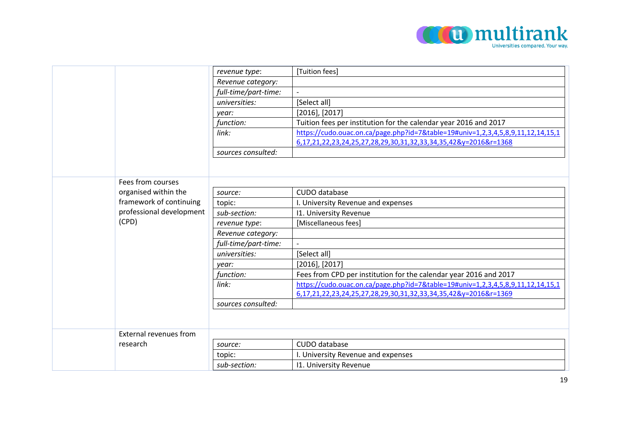

|          |                          | revenue type:        | [Tuition fees]                                                                  |
|----------|--------------------------|----------------------|---------------------------------------------------------------------------------|
|          | Revenue category:        |                      |                                                                                 |
|          |                          | full-time/part-time: | $\overline{\phantom{a}}$                                                        |
|          |                          | universities:        | [Select all]                                                                    |
|          |                          | year:                | $[2016]$ , $[2017]$                                                             |
|          |                          | function:            | Tuition fees per institution for the calendar year 2016 and 2017                |
|          |                          | link:                | https://cudo.ouac.on.ca/page.php?id=7&table=19#univ=1,2,3,4,5,8,9,11,12,14,15,1 |
|          |                          |                      | 6,17,21,22,23,24,25,27,28,29,30,31,32,33,34,35,42&y=2016&r=1368                 |
|          |                          | sources consulted:   |                                                                                 |
|          |                          |                      |                                                                                 |
|          |                          |                      |                                                                                 |
|          | Fees from courses        |                      |                                                                                 |
|          | organised within the     | source:              | CUDO database                                                                   |
|          | framework of continuing  | topic:               | I. University Revenue and expenses                                              |
|          | professional development | sub-section:         | <b>11. University Revenue</b>                                                   |
| (CPD)    |                          | revenue type:        | [Miscellaneous fees]                                                            |
|          |                          | Revenue category:    |                                                                                 |
|          | full-time/part-time:     |                      |                                                                                 |
|          |                          | universities:        | [Select all]                                                                    |
|          |                          | year:                | $[2016]$ , $[2017]$                                                             |
|          |                          | function:            | Fees from CPD per institution for the calendar year 2016 and 2017               |
|          |                          | link:                | https://cudo.ouac.on.ca/page.php?id=7&table=19#univ=1,2,3,4,5,8,9,11,12,14,15,1 |
|          |                          |                      | 6,17,21,22,23,24,25,27,28,29,30,31,32,33,34,35,42&y=2016&r=1369                 |
|          |                          | sources consulted:   |                                                                                 |
|          |                          |                      |                                                                                 |
|          |                          |                      |                                                                                 |
|          | External revenues from   |                      |                                                                                 |
| research |                          | source:              | CUDO database                                                                   |
|          |                          | topic:               | I. University Revenue and expenses                                              |
|          |                          | sub-section:         | <b>11. University Revenue</b>                                                   |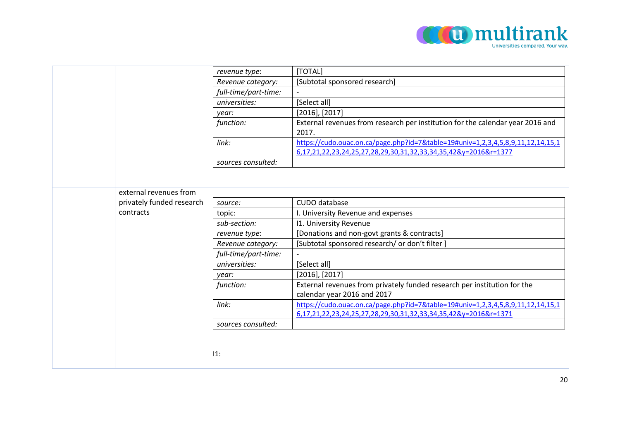

|                           | revenue type:        | [TOTAL]                                                                                                                                            |
|---------------------------|----------------------|----------------------------------------------------------------------------------------------------------------------------------------------------|
|                           | Revenue category:    | [Subtotal sponsored research]                                                                                                                      |
|                           | full-time/part-time: |                                                                                                                                                    |
|                           | universities:        | [Select all]                                                                                                                                       |
|                           | year:                | $[2016]$ , $[2017]$                                                                                                                                |
|                           | function:            | External revenues from research per institution for the calendar year 2016 and<br>2017.                                                            |
|                           | link:                | https://cudo.ouac.on.ca/page.php?id=7&table=19#univ=1,2,3,4,5,8,9,11,12,14,15,1<br>6,17,21,22,23,24,25,27,28,29,30,31,32,33,34,35,42&y=2016&r=1377 |
|                           | sources consulted:   |                                                                                                                                                    |
|                           |                      |                                                                                                                                                    |
| external revenues from    |                      |                                                                                                                                                    |
| privately funded research | source:              | CUDO database                                                                                                                                      |
| contracts                 | topic:               | I. University Revenue and expenses                                                                                                                 |
|                           | sub-section:         | I1. University Revenue                                                                                                                             |
|                           | revenue type:        | [Donations and non-govt grants & contracts]                                                                                                        |
|                           | Revenue category:    | [Subtotal sponsored research/ or don't filter]                                                                                                     |
|                           | full-time/part-time: |                                                                                                                                                    |
|                           | universities:        | [Select all]                                                                                                                                       |
|                           | year:                | $[2016]$ , $[2017]$                                                                                                                                |
|                           | function:            | External revenues from privately funded research per institution for the                                                                           |
|                           |                      | calendar year 2016 and 2017                                                                                                                        |
|                           | link:                | https://cudo.ouac.on.ca/page.php?id=7&table=19#univ=1,2,3,4,5,8,9,11,12,14,15,1                                                                    |
|                           |                      | 6,17,21,22,23,24,25,27,28,29,30,31,32,33,34,35,42&y=2016&r=1371                                                                                    |
|                           | sources consulted:   |                                                                                                                                                    |
|                           |                      |                                                                                                                                                    |
|                           |                      |                                                                                                                                                    |
|                           | 11:                  |                                                                                                                                                    |
|                           |                      |                                                                                                                                                    |